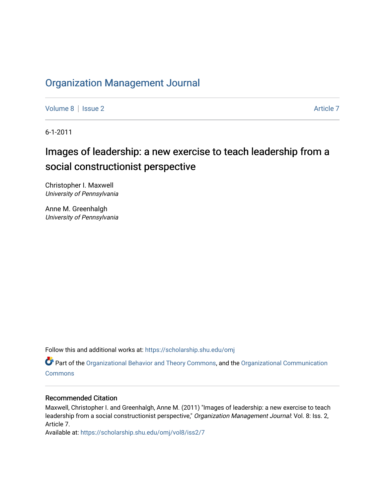### [Organization Management Journal](https://scholarship.shu.edu/omj)

[Volume 8](https://scholarship.shu.edu/omj/vol8) | [Issue 2](https://scholarship.shu.edu/omj/vol8/iss2) Article 7

6-1-2011

## Images of leadership: a new exercise to teach leadership from a social constructionist perspective

Christopher I. Maxwell University of Pennsylvania

Anne M. Greenhalgh University of Pennsylvania

Follow this and additional works at: [https://scholarship.shu.edu/omj](https://scholarship.shu.edu/omj?utm_source=scholarship.shu.edu%2Fomj%2Fvol8%2Fiss2%2F7&utm_medium=PDF&utm_campaign=PDFCoverPages) 

Part of the [Organizational Behavior and Theory Commons,](http://network.bepress.com/hgg/discipline/639?utm_source=scholarship.shu.edu%2Fomj%2Fvol8%2Fiss2%2F7&utm_medium=PDF&utm_campaign=PDFCoverPages) and the [Organizational Communication](http://network.bepress.com/hgg/discipline/335?utm_source=scholarship.shu.edu%2Fomj%2Fvol8%2Fiss2%2F7&utm_medium=PDF&utm_campaign=PDFCoverPages) **[Commons](http://network.bepress.com/hgg/discipline/335?utm_source=scholarship.shu.edu%2Fomj%2Fvol8%2Fiss2%2F7&utm_medium=PDF&utm_campaign=PDFCoverPages)** 

#### Recommended Citation

Maxwell, Christopher I. and Greenhalgh, Anne M. (2011) "Images of leadership: a new exercise to teach leadership from a social constructionist perspective," Organization Management Journal: Vol. 8: Iss. 2, Article 7.

Available at: [https://scholarship.shu.edu/omj/vol8/iss2/7](https://scholarship.shu.edu/omj/vol8/iss2/7?utm_source=scholarship.shu.edu%2Fomj%2Fvol8%2Fiss2%2F7&utm_medium=PDF&utm_campaign=PDFCoverPages)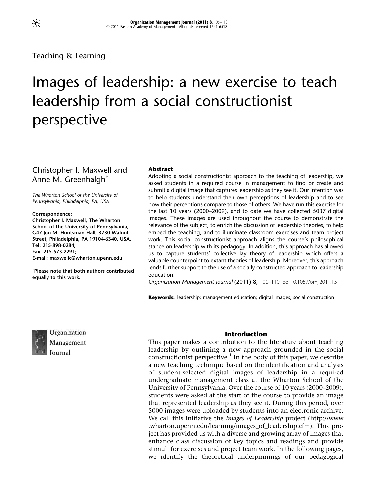Teaching & Learning

# Images of leadership: a new exercise to teach leadership from a social constructionist perspective

Christopher I. Maxwell and Anne M. Greenhalgh<sup>†</sup>

The Wharton School of the University of Pennsylvania, Philadelphia, PA, USA

Correspondence: Christopher I. Maxwell, The Wharton School of the University of Pennsylvania, G47 Jon M. Huntsman Hall, 3730 Walnut Street, Philadelphia, PA 19104-6340, USA. Tel: 215-898-0284; Fax: 215-573-2291; E-mail: maxwellc@wharton.upenn.edu

TPlease note that both authors contributed equally to this work.

#### Abstract

Adopting a social constructionist approach to the teaching of leadership, we asked students in a required course in management to find or create and submit a digital image that captures leadership as they see it. Our intention was to help students understand their own perceptions of leadership and to see how their perceptions compare to those of others. We have run this exercise for the last 10 years (2000–2009), and to date we have collected 5037 digital images. These images are used throughout the course to demonstrate the relevance of the subject, to enrich the discussion of leadership theories, to help embed the teaching, and to illuminate classroom exercises and team project work. This social constructionist approach aligns the course's philosophical stance on leadership with its pedagogy. In addition, this approach has allowed us to capture students' collective lay theory of leadership which offers a valuable counterpoint to extant theories of leadership. Moreover, this approach lends further support to the use of a socially constructed approach to leadership education.

Organization Management Journal (2011) 8, 106–110. doi:10.1057/omj.2011.15

Keywords: leadership; management education; digital images; social construction



Organization Management **I**ournal

#### Introduction

This paper makes a contribution to the literature about teaching leadership by outlining a new approach grounded in the social constructionist perspective.<sup>1</sup> In the body of this paper, we describe a new teaching technique based on the identification and analysis of student-selected digital images of leadership in a required undergraduate management class at the Wharton School of the University of Pennsylvania. Over the course of 10 years (2000–2009), students were asked at the start of the course to provide an image that represented leadership as they see it. During this period, over 5000 images were uploaded by students into an electronic archive. We call this initiative the *Images of Leadership* project (http://www .wharton.upenn.edu/learning/images\_of\_leadership.cfm). This project has provided us with a diverse and growing array of images that enhance class discussion of key topics and readings and provide stimuli for exercises and project team work. In the following pages, we identify the theoretical underpinnings of our pedagogical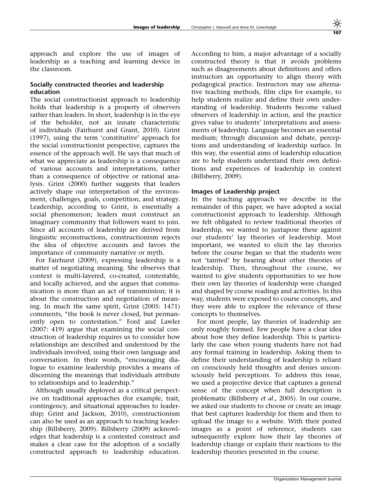approach and explore the use of images of leadership as a teaching and learning device in the classroom.

#### Socially constructed theories and leadership education

The social constructionist approach to leadership holds that leadership is a property of observers rather than leaders. In short, leadership is in the eye of the beholder, not an innate characteristic of individuals (Fairhurst and Grant, 2010). Grint (1997), using the term 'constitutive' approach for the social constructionist perspective, captures the essence of the approach well. He says that much of what we appreciate as leadership is a consequence of various accounts and interpretations, rather than a consequence of objective or rational analysis. Grint (2000) further suggests that leaders actively shape our interpretation of the environment, challenges, goals, competition, and strategy. Leadership, according to Grint, is essentially a social phenomenon; leaders must construct an imaginary community that followers want to join. Since all accounts of leadership are derived from linguistic reconstructions, constructionism rejects the idea of objective accounts and favors the importance of community narrative or myth.

For Fairhurst (2009), expressing leadership is a matter of negotiating meaning. She observes that context is multi-layered, co-created, contestable, and locally achieved, and she argues that communication is more than an act of transmission; it is about the construction and negotiation of meaning. In much the same spirit, Grint (2005: 1471) comments, "the book is never closed, but permanently open to contestation." Ford and Lawler (2007: 419) argue that examining the social construction of leadership requires us to consider how relationships are described and understood by the individuals involved, using their own language and conversation. In their words, "encouraging dialogue to examine leadership provides a means of discerning the meanings that individuals attribute to relationships and to leadership."

Although usually deployed as a critical perspective on traditional approaches (for example, trait, contingency, and situational approaches to leadership; Grint and Jackson, 2010), constructionism can also be used as an approach to teaching leadership (Billsberry, 2009). Billsberry (2009) acknowledges that leadership is a contested construct and makes a clear case for the adoption of a socially constructed approach to leadership education. According to him, a major advantage of a socially constructed theory is that it avoids problems such as disagreements about definitions and offers instructors an opportunity to align theory with pedagogical practice. Instructors may use alternative teaching methods, film clips for example, to help students realize and define their own understanding of leadership. Students become valued observers of leadership in action, and the practice gives value to students' interpretations and assessments of leadership. Language becomes an essential medium; through discussion and debate, perceptions and understanding of leadership surface. In this way, the essential aims of leadership education are to help students understand their own definitions and experiences of leadership in context (Billsberry, 2009).

#### Images of Leadership project

In the teaching approach we describe in the remainder of this paper, we have adopted a social constructionist approach to leadership. Although we felt obligated to review traditional theories of leadership, we wanted to juxtapose these against our students' lay theories of leadership. Most important, we wanted to elicit the lay theories before the course began so that the students were not 'tainted' by hearing about other theories of leadership. Then, throughout the course, we wanted to give students opportunities to see how their own lay theories of leadership were changed and shaped by course readings and activities. In this way, students were exposed to course concepts, and they were able to explore the relevance of these concepts to themselves.

For most people, lay theories of leadership are only roughly formed. Few people have a clear idea about how they define leadership. This is particularly the case when young students have not had any formal training in leadership. Asking them to define their understanding of leadership is reliant on consciously held thoughts and denies unconsciously held perceptions. To address this issue, we used a projective device that captures a general sense of the concept when full description is problematic (Billsberry et al., 2005). In our course, we asked our students to choose or create an image that best captures leadership for them and then to upload the image to a website. With their posted images as a point of reference, students can subsequently explore how their lay theories of leadership change or explain their reactions to the leadership theories presented in the course.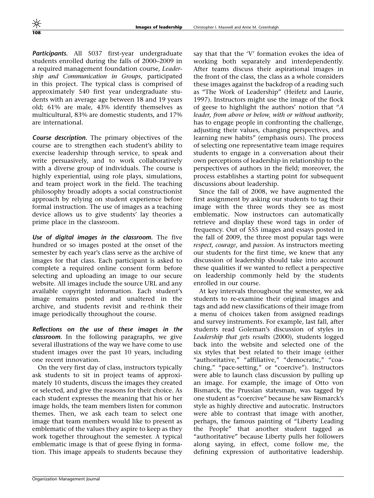Participants. All 5037 first-year undergraduate students enrolled during the falls of 2000–2009 in a required management foundation course, Leadership and Communication in Groups, participated in this project. The typical class is comprised of approximately 540 first year undergraduate students with an average age between 18 and 19 years old; 61% are male, 43% identify themselves as multicultural, 83% are domestic students, and 17% are international.

Course description. The primary objectives of the course are to strengthen each student's ability to exercise leadership through service, to speak and write persuasively, and to work collaboratively with a diverse group of individuals. The course is highly experiential, using role plays, simulations, and team project work in the field. The teaching philosophy broadly adopts a social constructionist approach by relying on student experience before formal instruction. The use of images as a teaching device allows us to give students' lay theories a prime place in the classroom.

Use of digital images in the classroom. The five hundred or so images posted at the onset of the semester by each year's class serve as the archive of images for that class. Each participant is asked to complete a required online consent form before selecting and uploading an image to our secure website. All images include the source URL and any available copyright information. Each student's image remains posted and unaltered in the archive, and students revisit and re-think their image periodically throughout the course.

Reflections on the use of these images in the classroom. In the following paragraphs, we give several illustrations of the way we have come to use student images over the past 10 years, including one recent innovation.

On the very first day of class, instructors typically ask students to sit in project teams of approximately 10 students, discuss the images they created or selected, and give the reasons for their choice. As each student expresses the meaning that his or her image holds, the team members listen for common themes. Then, we ask each team to select one image that team members would like to present as emblematic of the values they aspire to keep as they work together throughout the semester. A typical emblematic image is that of geese flying in formation. This image appeals to students because they say that that the 'V' formation evokes the idea of working both separately and interdependently. After teams discuss their aspirational images in the front of the class, the class as a whole considers these images against the backdrop of a reading such as "The Work of Leadership" (Heifetz and Laurie, 1997). Instructors might use the image of the flock of geese to highlight the authors' notion that "A leader, from above or below, with or without authority, has to engage people in confronting the challenge, adjusting their values, changing perspectives, and learning new habits" (emphasis ours). The process of selecting one representative team image requires students to engage in a conversation about their own perceptions of leadership in relationship to the perspectives of authors in the field; moreover, the process establishes a starting point for subsequent discussions about leadership.

Since the fall of 2008, we have augmented the first assignment by asking our students to tag their image with the three words they see as most emblematic. Now instructors can automatically retrieve and display these word tags in order of frequency. Out of 555 images and essays posted in the fall of 2009, the three most popular tags were respect, courage, and passion. As instructors meeting our students for the first time, we knew that any discussion of leadership should take into account these qualities if we wanted to reflect a perspective on leadership commonly held by the students enrolled in our course.

At key intervals throughout the semester, we ask students to re-examine their original images and tags and add new classifications of their image from a menu of choices taken from assigned readings and survey instruments. For example, last fall, after students read Goleman's discussion of styles in Leadership that gets results (2000), students logged back into the website and selected one of the six styles that best related to their image (either "authoritative," "affiliative," "democratic," "coaching," "pace-setting," or "coercive"). Instructors were able to launch class discussion by pulling up an image. For example, the image of Otto von Bismarck, the Prussian statesman, was tagged by one student as "coercive" because he saw Bismarck's style as highly directive and autocratic. Instructors were able to contrast that image with another, perhaps, the famous painting of "Liberty Leading the People" that another student tagged as "authoritative" because Liberty pulls her followers along saying, in effect, come follow me, the defining expression of authoritative leadership.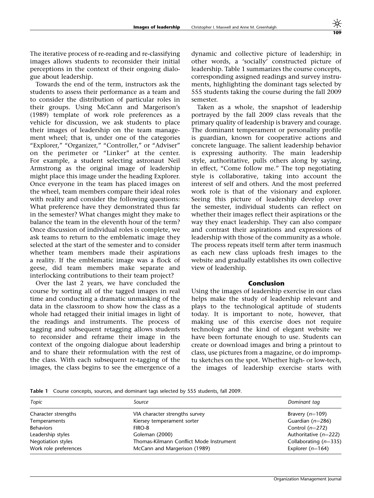The iterative process of re-reading and re-classifying images allows students to reconsider their initial perceptions in the context of their ongoing dialogue about leadership.

Towards the end of the term, instructors ask the students to assess their performance as a team and to consider the distribution of particular roles in their groups. Using McCann and Margerison's (1989) template of work role preferences as a vehicle for discussion, we ask students to place their images of leadership on the team management wheel; that is, under one of the categories "Explorer," "Organizer," "Controller," or "Adviser" on the perimeter or "Linker" at the center. For example, a student selecting astronaut Neil Armstrong as the original image of leadership might place this image under the heading Explorer. Once everyone in the team has placed images on the wheel, team members compare their ideal roles with reality and consider the following questions: What preference have they demonstrated thus far in the semester? What changes might they make to balance the team in the eleventh hour of the term? Once discussion of individual roles is complete, we ask teams to return to the emblematic image they selected at the start of the semester and to consider whether team members made their aspirations a reality. If the emblematic image was a flock of geese, did team members make separate and interlocking contributions to their team project?

Over the last 2 years, we have concluded the course by sorting all of the tagged images in real time and conducting a dramatic unmasking of the data in the classroom to show how the class as a whole had retagged their initial images in light of the readings and instruments. The process of tagging and subsequent retagging allows students to reconsider and reframe their image in the context of the ongoing dialogue about leadership and to share their reformulation with the rest of the class. With each subsequent re-tagging of the images, the class begins to see the emergence of a dynamic and collective picture of leadership; in other words, a 'socially' constructed picture of leadership. Table 1 summarizes the course concepts, corresponding assigned readings and survey instruments, highlighting the dominant tags selected by 555 students taking the course during the fall 2009 semester.

Taken as a whole, the snapshot of leadership portrayed by the fall 2009 class reveals that the primary quality of leadership is bravery and courage. The dominant temperament or personality profile is guardian, known for cooperative actions and concrete language. The salient leadership behavior is expressing authority. The main leadership style, authoritative, pulls others along by saying, in effect, "Come follow me." The top negotiating style is collaborative, taking into account the interest of self and others. And the most preferred work role is that of the visionary and explorer. Seeing this picture of leadership develop over the semester, individual students can reflect on whether their images reflect their aspirations or the way they enact leadership. They can also compare and contrast their aspirations and expressions of leadership with those of the community as a whole. The process repeats itself term after term inasmuch as each new class uploads fresh images to the website and gradually establishes its own collective view of leadership.

#### Conclusion

Using the images of leadership exercise in our class helps make the study of leadership relevant and plays to the technological aptitude of students today. It is important to note, however, that making use of this exercise does not require technology and the kind of elegant website we have been fortunate enough to use. Students can create or download images and bring a printout to class, use pictures from a magazine, or do impromptu sketches on the spot. Whether high- or low-tech, the images of leadership exercise starts with

Table 1 Course concepts, sources, and dominant tags selected by 555 students, fall 2009.

| Dominant tag                                                                                                             |
|--------------------------------------------------------------------------------------------------------------------------|
| VIA character strengths survey<br>Bravery $(n=109)$                                                                      |
| Guardian $(n=286)$<br>Kiersey temperament sorter                                                                         |
| Control $(n=272)$                                                                                                        |
| Authoritative ( $n=222$ )                                                                                                |
| Thomas-Kilmann Conflict Mode Instrument<br>Collaborating $(n=335)$<br>McCann and Margerison (1989)<br>Explorer $(n=164)$ |
| Goleman (2000)                                                                                                           |